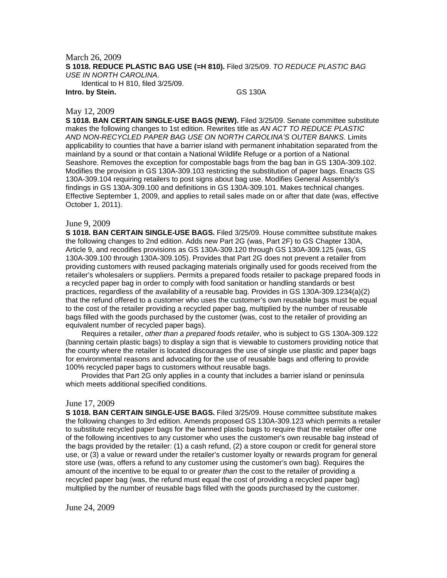March 26, 2009 **S 1018. REDUCE PLASTIC BAG USE (=H 810).** Filed 3/25/09. *TO REDUCE PLASTIC BAG USE IN NORTH CAROLINA*.

Identical to H 810, filed 3/25/09.

**Intro. by Stein.** GS 130A

## May 12, 2009

**S 1018. BAN CERTAIN SINGLE-USE BAGS (NEW).** Filed 3/25/09. Senate committee substitute makes the following changes to 1st edition. Rewrites title as *AN ACT TO REDUCE PLASTIC AND NON-RECYCLED PAPER BAG USE ON NORTH CAROLINA'S OUTER BANKS*. Limits applicability to counties that have a barrier island with permanent inhabitation separated from the mainland by a sound or that contain a National Wildlife Refuge or a portion of a National Seashore. Removes the exception for compostable bags from the bag ban in GS 130A-309.102. Modifies the provision in GS 130A-309.103 restricting the substitution of paper bags. Enacts GS 130A-309.104 requiring retailers to post signs about bag use. Modifies General Assembly's findings in GS 130A-309.100 and definitions in GS 130A-309.101. Makes technical changes. Effective September 1, 2009, and applies to retail sales made on or after that date (was, effective October 1, 2011).

## June 9, 2009

**S 1018. BAN CERTAIN SINGLE-USE BAGS.** Filed 3/25/09. House committee substitute makes the following changes to 2nd edition. Adds new Part 2G (was, Part 2F) to GS Chapter 130A, Article 9, and recodifies provisions as GS 130A-309.120 through GS 130A-309.125 (was, GS 130A-309.100 through 130A-309.105). Provides that Part 2G does not prevent a retailer from providing customers with reused packaging materials originally used for goods received from the retailer's wholesalers or suppliers. Permits a prepared foods retailer to package prepared foods in a recycled paper bag in order to comply with food sanitation or handling standards or best practices, regardless of the availability of a reusable bag. Provides in GS 130A-309.1234(a)(2) that the refund offered to a customer who uses the customer's own reusable bags must be equal to the cost of the retailer providing a recycled paper bag, multiplied by the number of reusable bags filled with the goods purchased by the customer (was, cost to the retailer of providing an equivalent number of recycled paper bags).

Requires a retailer, *other than a prepared foods retailer*, who is subject to GS 130A-309.122 (banning certain plastic bags) to display a sign that is viewable to customers providing notice that the county where the retailer is located discourages the use of single use plastic and paper bags for environmental reasons and advocating for the use of reusable bags and offering to provide 100% recycled paper bags to customers without reusable bags.

Provides that Part 2G only applies in a county that includes a barrier island or peninsula which meets additional specified conditions.

## June 17, 2009

**S 1018. BAN CERTAIN SINGLE-USE BAGS.** Filed 3/25/09. House committee substitute makes the following changes to 3rd edition. Amends proposed GS 130A-309.123 which permits a retailer to substitute recycled paper bags for the banned plastic bags to require that the retailer offer one of the following incentives to any customer who uses the customer's own reusable bag instead of the bags provided by the retailer: (1) a cash refund, (2) a store coupon or credit for general store use, or (3) a value or reward under the retailer's customer loyalty or rewards program for general store use (was, offers a refund to any customer using the customer's own bag). Requires the amount of the incentive to be equal to or *greater than* the cost to the retailer of providing a recycled paper bag (was, the refund must equal the cost of providing a recycled paper bag) multiplied by the number of reusable bags filled with the goods purchased by the customer.

June 24, 2009